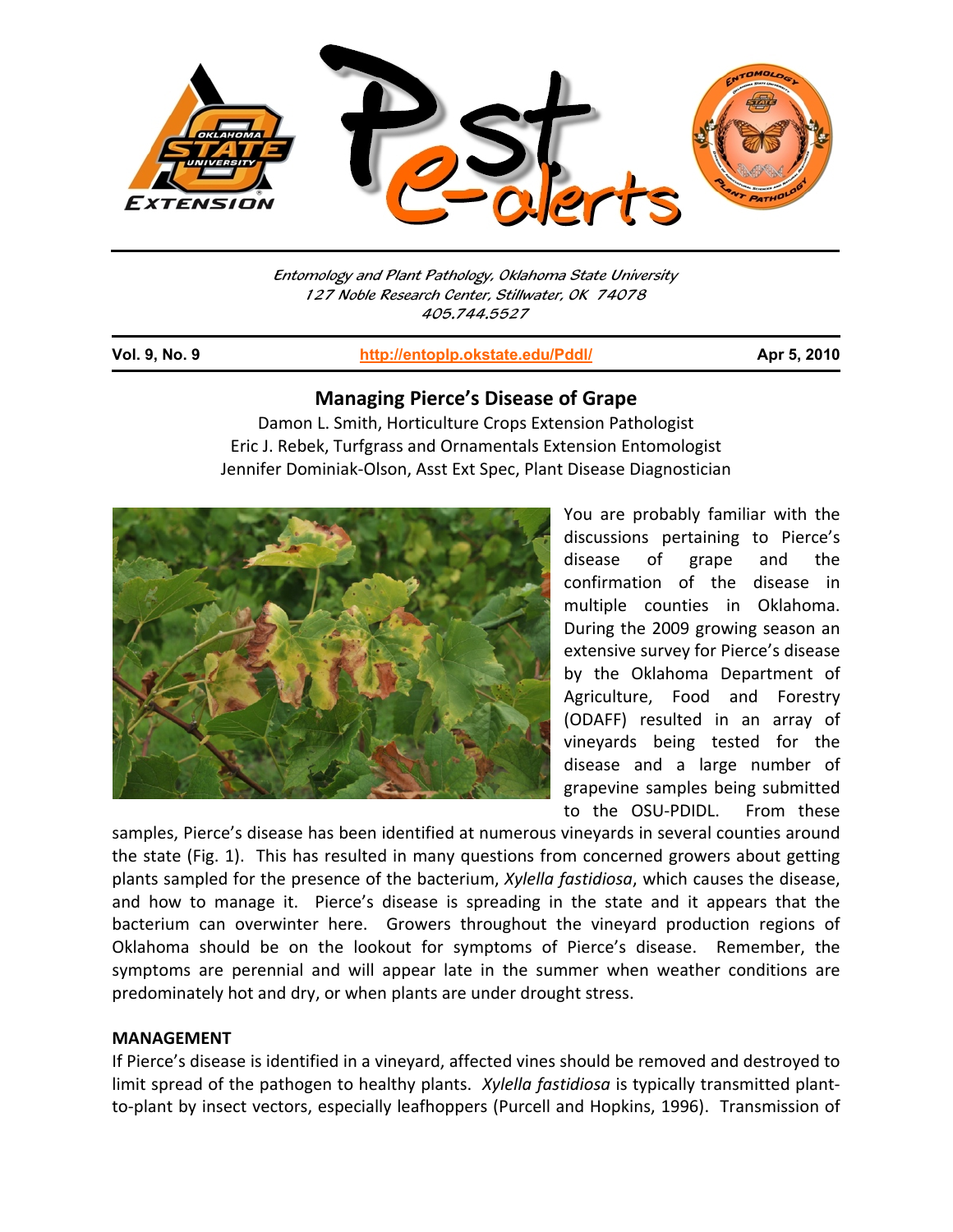

Entomology and Plant Pathology, Oklahoma State University 127 Noble Research Center, Stillwater, OK 74078 405.744.5527

j

**Vol. 9, No. 9 http://entoplp.okstate.edu/Pddl/ Apr 5, 2010**

#### **Managing Pierce's Disease of Grape**

Damon L. Smith, Horticulture Crops Extension Pathologist Eric J. Rebek, Turfgrass and Ornamentals Extension Entomologist Jennifer Dominiak‐Olson, Asst Ext Spec, Plant Disease Diagnostician



You are probably familiar with the discussions pertaining to Pierce's disease of grape and the confirmation of the disease in multiple counties in Oklahoma. During the 2009 growing season an extensive survey for Pierce's disease by the Oklahoma Department of Agriculture, Food and Forestry (ODAFF) resulted in an array of vineyards being tested for the disease and a large number of grapevine samples being submitted to the OSU-PDIDL. From these

samples, Pierce's disease has been identified at numerous vineyards in several counties around the state (Fig. 1). This has resulted in many questions from concerned growers about getting plants sampled for the presence of the bacterium, *Xylella fastidiosa*, which causes the disease, and how to manage it. Pierce's disease is spreading in the state and it appears that the bacterium can overwinter here. Growers throughout the vineyard production regions of Oklahoma should be on the lookout for symptoms of Pierce's disease. Remember, the symptoms are perennial and will appear late in the summer when weather conditions are predominately hot and dry, or when plants are under drought stress.

#### **MANAGEMENT**

If Pierce's disease is identified in a vineyard, affected vines should be removed and destroyed to limit spread of the pathogen to healthy plants. *Xylella fastidiosa* is typically transmitted plant‐ to-plant by insect vectors, especially leafhoppers (Purcell and Hopkins, 1996). Transmission of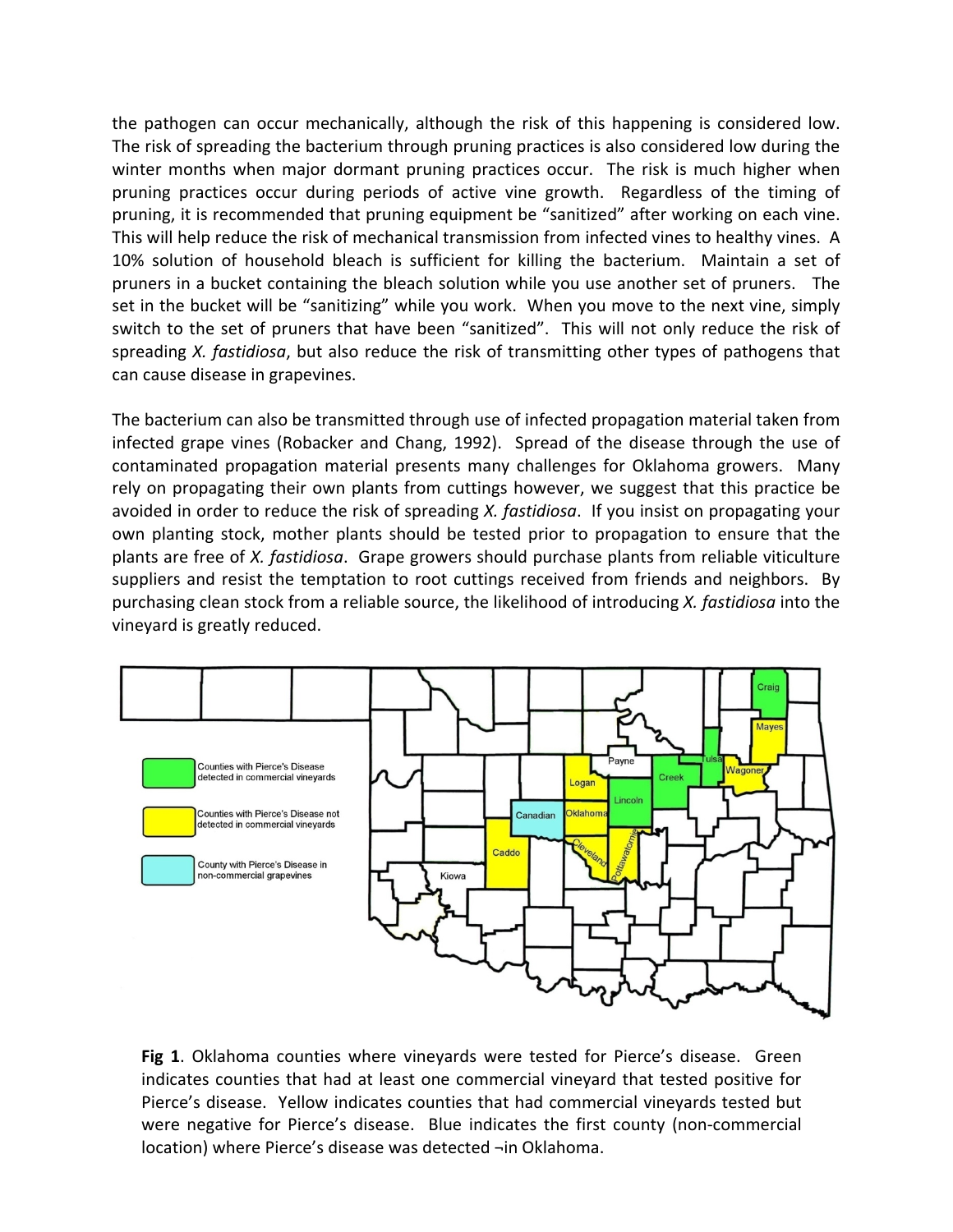the pathogen can occur mechanically, although the risk of this happening is considered low. The risk of spreading the bacterium through pruning practices is also considered low during the winter months when major dormant pruning practices occur. The risk is much higher when pruning practices occur during periods of active vine growth. Regardless of the timing of pruning, it is recommended that pruning equipment be "sanitized" after working on each vine. This will help reduce the risk of mechanical transmission from infected vines to healthy vines. A 10% solution of household bleach is sufficient for killing the bacterium. Maintain a set of pruners in a bucket containing the bleach solution while you use another set of pruners. The set in the bucket will be "sanitizing" while you work. When you move to the next vine, simply switch to the set of pruners that have been "sanitized". This will not only reduce the risk of spreading *X. fastidiosa*, but also reduce the risk of transmitting other types of pathogens that can cause disease in grapevines.

The bacterium can also be transmitted through use of infected propagation material taken from infected grape vines (Robacker and Chang, 1992). Spread of the disease through the use of contaminated propagation material presents many challenges for Oklahoma growers. Many rely on propagating their own plants from cuttings however, we suggest that this practice be avoided in order to reduce the risk of spreading *X. fastidiosa*. If you insist on propagating your own planting stock, mother plants should be tested prior to propagation to ensure that the plants are free of *X. fastidiosa*. Grape growers should purchase plants from reliable viticulture suppliers and resist the temptation to root cuttings received from friends and neighbors. By purchasing clean stock from a reliable source, the likelihood of introducing *X. fastidiosa* into the vineyard is greatly reduced.



**Fig 1**. Oklahoma counties where vineyards were tested for Pierce's disease. Green indicates counties that had at least one commercial vineyard that tested positive for Pierce's disease. Yellow indicates counties that had commercial vineyards tested but were negative for Pierce's disease. Blue indicates the first county (non-commercial location) where Pierce's disease was detected ¬in Oklahoma.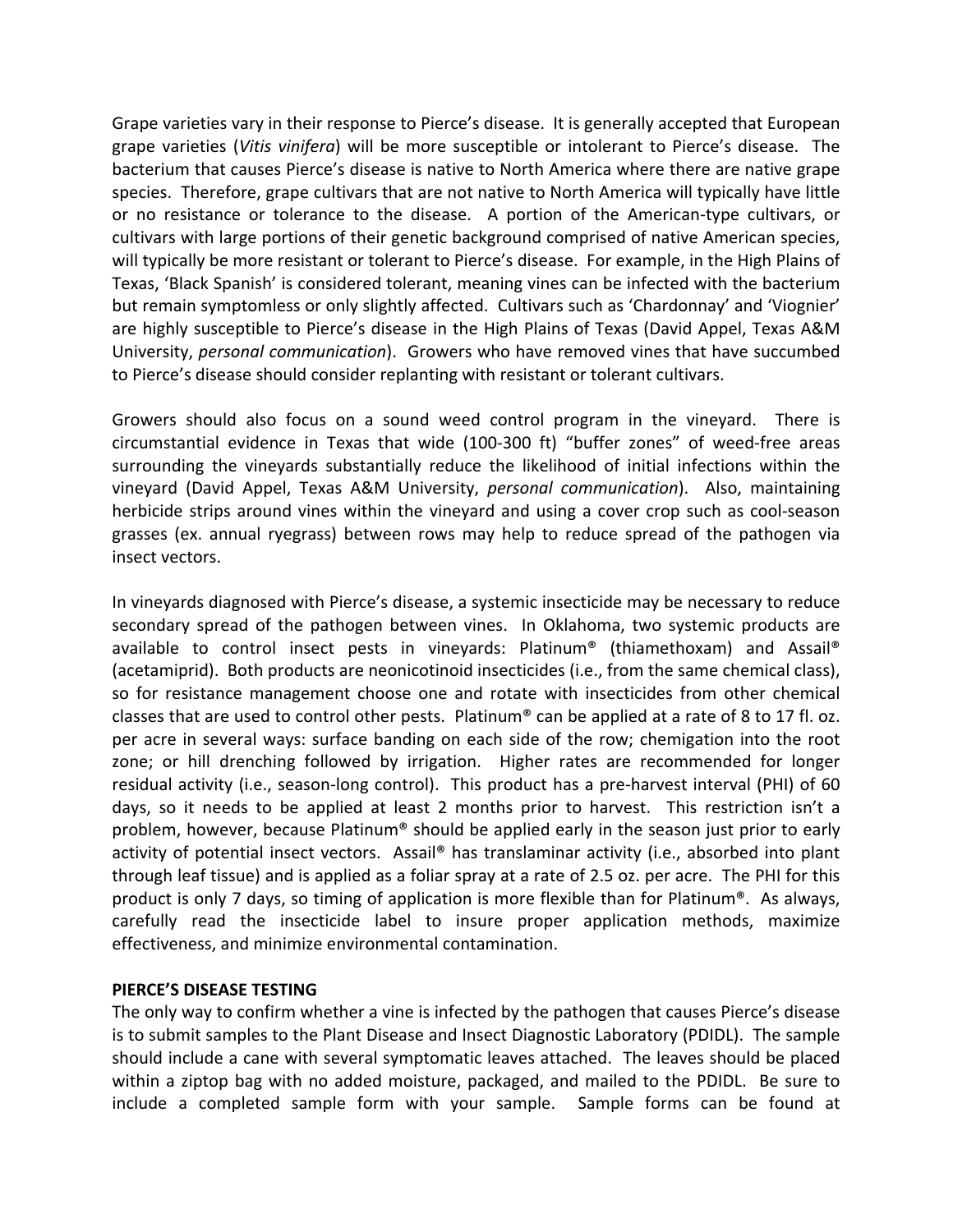Grape varieties vary in their response to Pierce's disease. It is generally accepted that European grape varieties (*Vitis vinifera*) will be more susceptible or intolerant to Pierce's disease. The bacterium that causes Pierce's disease is native to North America where there are native grape species. Therefore, grape cultivars that are not native to North America will typically have little or no resistance or tolerance to the disease. A portion of the American‐type cultivars, or cultivars with large portions of their genetic background comprised of native American species, will typically be more resistant or tolerant to Pierce's disease. For example, in the High Plains of Texas, 'Black Spanish' is considered tolerant, meaning vines can be infected with the bacterium but remain symptomless or only slightly affected. Cultivars such as 'Chardonnay' and 'Viognier' are highly susceptible to Pierce's disease in the High Plains of Texas (David Appel, Texas A&M University, *personal communication*). Growers who have removed vines that have succumbed to Pierce's disease should consider replanting with resistant or tolerant cultivars.

Growers should also focus on a sound weed control program in the vineyard. There is circumstantial evidence in Texas that wide (100‐300 ft) "buffer zones" of weed‐free areas surrounding the vineyards substantially reduce the likelihood of initial infections within the vineyard (David Appel, Texas A&M University, *personal communication*). Also, maintaining herbicide strips around vines within the vineyard and using a cover crop such as cool-season grasses (ex. annual ryegrass) between rows may help to reduce spread of the pathogen via insect vectors.

In vineyards diagnosed with Pierce's disease, a systemic insecticide may be necessary to reduce secondary spread of the pathogen between vines. In Oklahoma, two systemic products are available to control insect pests in vineyards: Platinum® (thiamethoxam) and Assail® (acetamiprid). Both products are neonicotinoid insecticides (i.e., from the same chemical class), so for resistance management choose one and rotate with insecticides from other chemical classes that are used to control other pests. Platinum® can be applied at a rate of 8 to 17 fl. oz. per acre in several ways: surface banding on each side of the row; chemigation into the root zone; or hill drenching followed by irrigation. Higher rates are recommended for longer residual activity (i.e., season‐long control). This product has a pre‐harvest interval (PHI) of 60 days, so it needs to be applied at least 2 months prior to harvest. This restriction isn't a problem, however, because Platinum® should be applied early in the season just prior to early activity of potential insect vectors. Assail® has translaminar activity (i.e., absorbed into plant through leaf tissue) and is applied as a foliar spray at a rate of 2.5 oz. per acre. The PHI for this product is only 7 days, so timing of application is more flexible than for Platinum®. As always, carefully read the insecticide label to insure proper application methods, maximize effectiveness, and minimize environmental contamination.

#### **PIERCE'S DISEASE TESTING**

The only way to confirm whether a vine is infected by the pathogen that causes Pierce's disease is to submit samples to the Plant Disease and Insect Diagnostic Laboratory (PDIDL). The sample should include a cane with several symptomatic leaves attached. The leaves should be placed within a ziptop bag with no added moisture, packaged, and mailed to the PDIDL. Be sure to include a completed sample form with your sample. Sample forms can be found at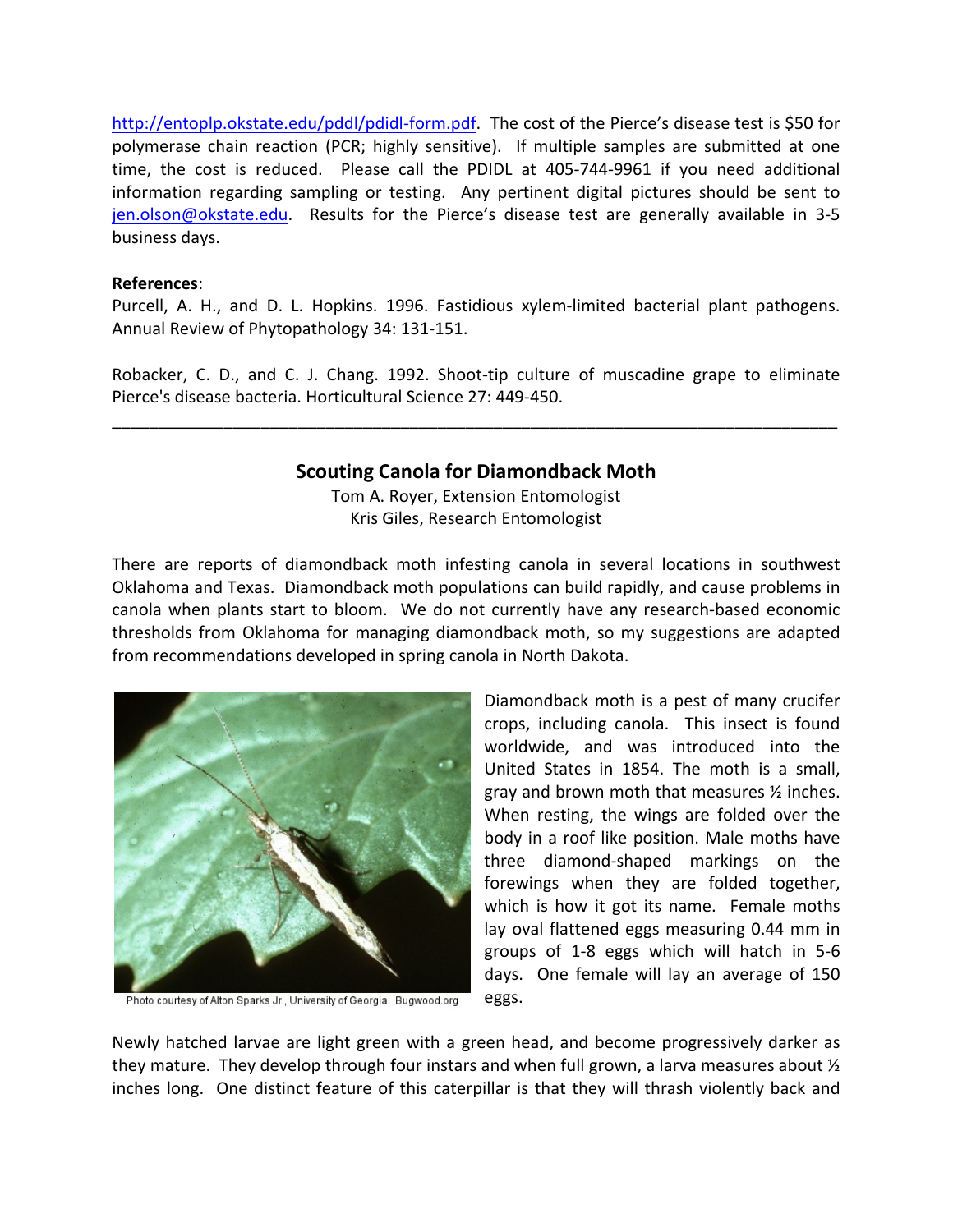http://entoplp.okstate.edu/pddl/pdidl-form.pdf. The cost of the Pierce's disease test is \$50 for polymerase chain reaction (PCR; highly sensitive). If multiple samples are submitted at one time, the cost is reduced. Please call the PDIDL at 405-744-9961 if you need additional information regarding sampling or testing. Any pertinent digital pictures should be sent to jen.olson@okstate.edu. Results for the Pierce's disease test are generally available in 3-5 business days.

#### **References**:

Purcell, A. H., and D. L. Hopkins. 1996. Fastidious xylem-limited bacterial plant pathogens. Annual Review of Phytopathology 34: 131‐151.

Robacker, C. D., and C. J. Chang. 1992. Shoot‐tip culture of muscadine grape to eliminate Pierce's disease bacteria. Horticultural Science 27: 449‐450.

\_\_\_\_\_\_\_\_\_\_\_\_\_\_\_\_\_\_\_\_\_\_\_\_\_\_\_\_\_\_\_\_\_\_\_\_\_\_\_\_\_\_\_\_\_\_\_\_\_\_\_\_\_\_\_\_\_\_\_\_\_\_\_\_\_\_\_\_\_\_\_\_\_\_\_\_\_\_

# **Scouting Canola for Diamondback Moth**

Tom A. Royer, Extension Entomologist Kris Giles, Research Entomologist

There are reports of diamondback moth infesting canola in several locations in southwest Oklahoma and Texas. Diamondback moth populations can build rapidly, and cause problems in canola when plants start to bloom. We do not currently have any research‐based economic thresholds from Oklahoma for managing diamondback moth, so my suggestions are adapted from recommendations developed in spring canola in North Dakota.



Photo courtesy of Alton Sparks Jr., University of Georgia. Bugwood.org

Diamondback moth is a pest of many crucifer crops, including canola. This insect is found worldwide, and was introduced into the United States in 1854. The moth is a small, gray and brown moth that measures ½ inches. When resting, the wings are folded over the body in a roof like position. Male moths have three diamond‐shaped markings on the forewings when they are folded together, which is how it got its name. Female moths lay oval flattened eggs measuring 0.44 mm in groups of 1‐8 eggs which will hatch in 5‐6 days. One female will lay an average of 150 eggs.

Newly hatched larvae are light green with a green head, and become progressively darker as they mature. They develop through four instars and when full grown, a larva measures about  $\frac{1}{2}$ inches long. One distinct feature of this caterpillar is that they will thrash violently back and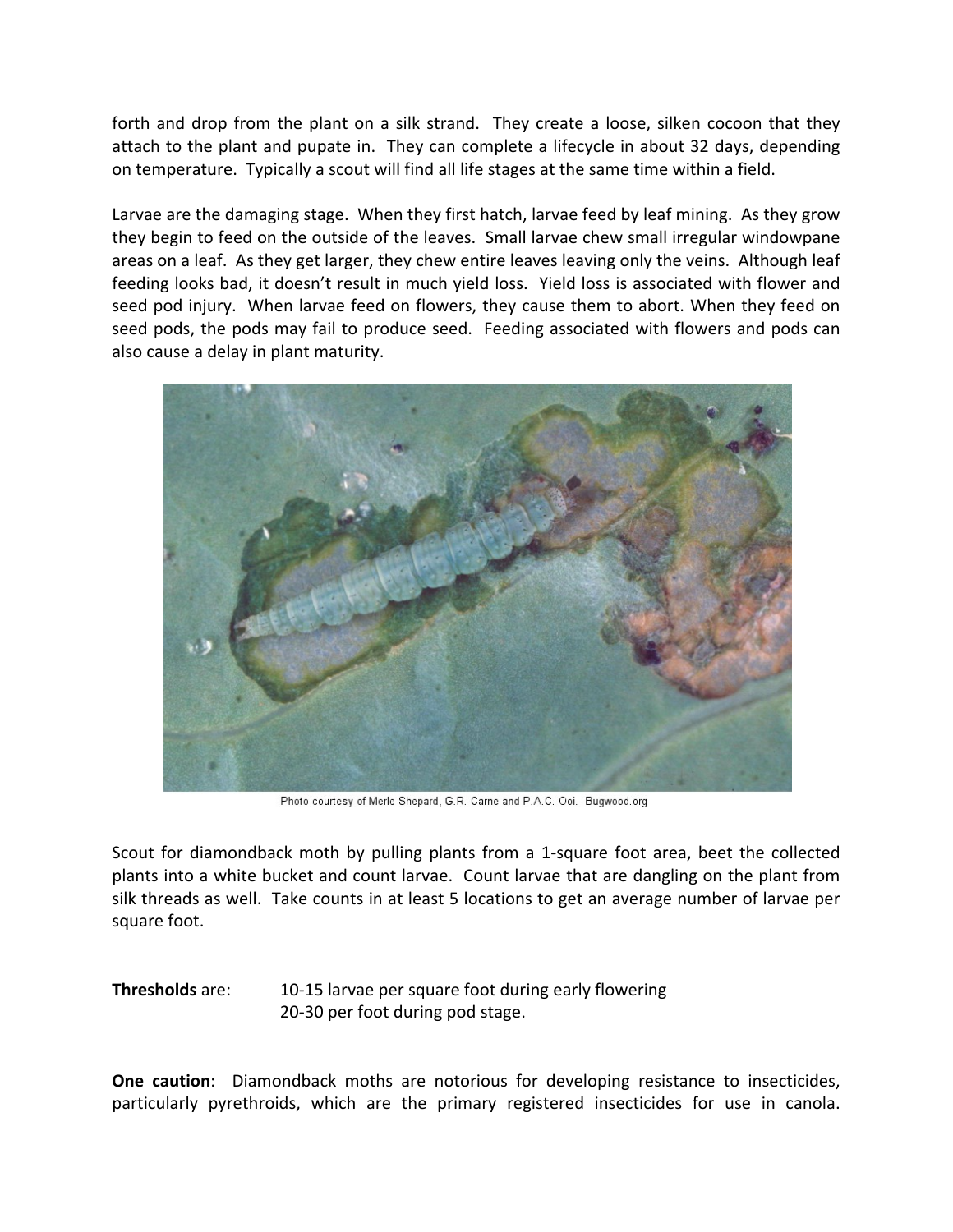forth and drop from the plant on a silk strand. They create a loose, silken cocoon that they attach to the plant and pupate in. They can complete a lifecycle in about 32 days, depending on temperature. Typically a scout will find all life stages at the same time within a field.

Larvae are the damaging stage. When they first hatch, larvae feed by leaf mining. As they grow they begin to feed on the outside of the leaves. Small larvae chew small irregular windowpane areas on a leaf. As they get larger, they chew entire leaves leaving only the veins. Although leaf feeding looks bad, it doesn't result in much yield loss. Yield loss is associated with flower and seed pod injury. When larvae feed on flowers, they cause them to abort. When they feed on seed pods, the pods may fail to produce seed. Feeding associated with flowers and pods can also cause a delay in plant maturity.



Photo courtesy of Merle Shepard, G.R. Carne and P.A.C. Ooi. Bugwood.org

Scout for diamondback moth by pulling plants from a 1‐square foot area, beet the collected plants into a white bucket and count larvae. Count larvae that are dangling on the plant from silk threads as well. Take counts in at least 5 locations to get an average number of larvae per square foot.

**Thresholds** are: **10-15 larvae per square foot during early flowering** 20‐30 per foot during pod stage.

**One caution**: Diamondback moths are notorious for developing resistance to insecticides, particularly pyrethroids, which are the primary registered insecticides for use in canola.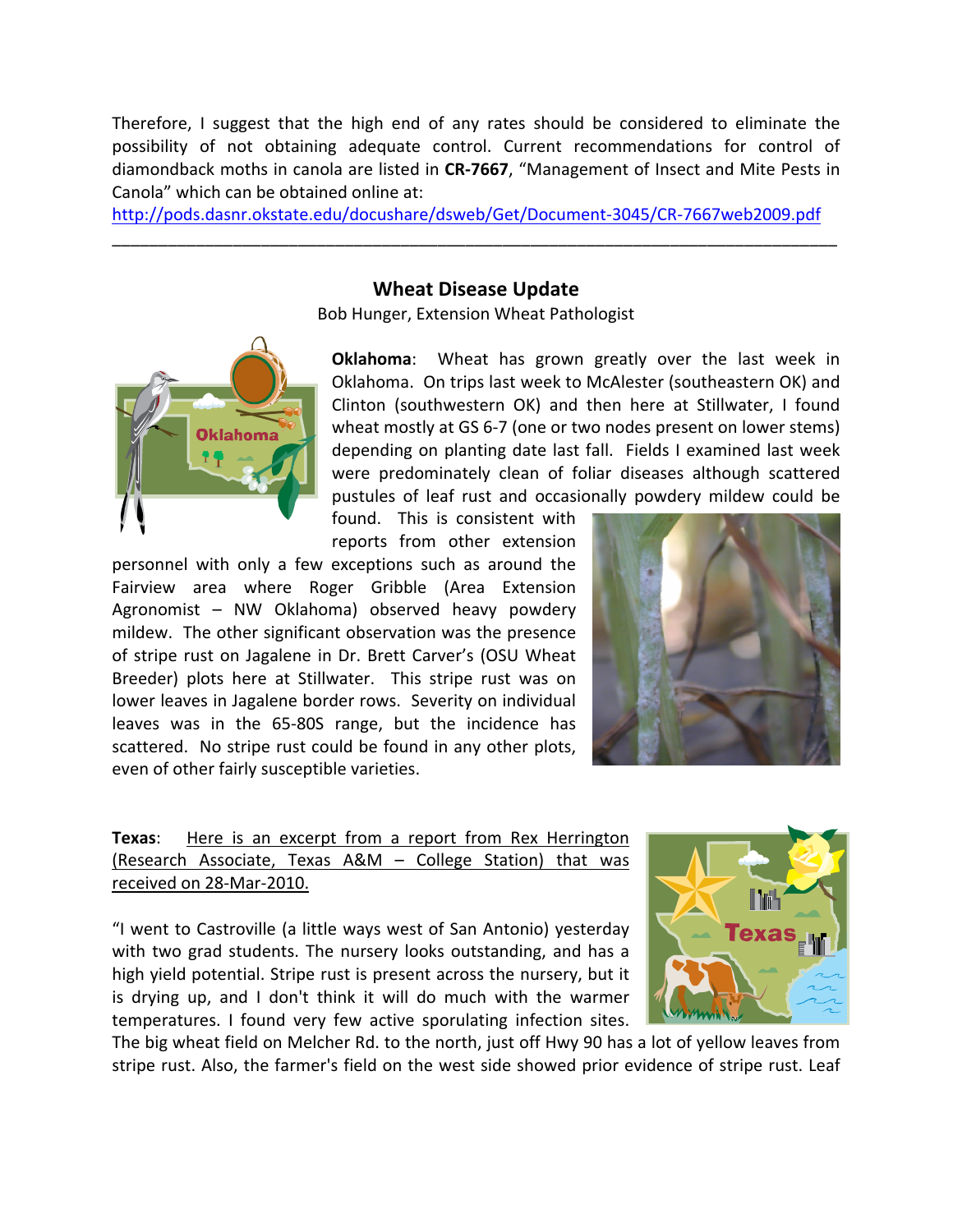Therefore, I suggest that the high end of any rates should be considered to eliminate the possibility of not obtaining adequate control. Current recommendations for control of diamondback moths in canola are listed in **CR‐7667**, "Management of Insect and Mite Pests in Canola" which can be obtained online at:

http://pods.dasnr.okstate.edu/docushare/dsweb/Get/Document‐3045/CR‐7667web2009.pdf \_\_\_\_\_\_\_\_\_\_\_\_\_\_\_\_\_\_\_\_\_\_\_\_\_\_\_\_\_\_\_\_\_\_\_\_\_\_\_\_\_\_\_\_\_\_\_\_\_\_\_\_\_\_\_\_\_\_\_\_\_\_\_\_\_\_\_\_\_\_\_\_\_\_\_\_\_\_

### **Wheat Disease Update**

Bob Hunger, Extension Wheat Pathologist



**Oklahoma**: Wheat has grown greatly over the last week in Oklahoma. On trips last week to McAlester (southeastern OK) and Clinton (southwestern OK) and then here at Stillwater, I found wheat mostly at GS 6-7 (one or two nodes present on lower stems) depending on planting date last fall. Fields I examined last week were predominately clean of foliar diseases although scattered pustules of leaf rust and occasionally powdery mildew could be

found. This is consistent with reports from other extension

personnel with only a few exceptions such as around the Fairview area where Roger Gribble (Area Extension Agronomist – NW Oklahoma) observed heavy powdery mildew. The other significant observation was the presence of stripe rust on Jagalene in Dr. Brett Carver's (OSU Wheat Breeder) plots here at Stillwater. This stripe rust was on lower leaves in Jagalene border rows. Severity on individual leaves was in the 65‐80S range, but the incidence has scattered. No stripe rust could be found in any other plots, even of other fairly susceptible varieties.



## **Texas**: Here is an excerpt from a report from Rex Herrington (Research Associate, Texas A&M – College Station) that was received on 28‐Mar‐2010.

"I went to Castroville (a little ways west of San Antonio) yesterday with two grad students. The nursery looks outstanding, and has a high yield potential. Stripe rust is present across the nursery, but it is drying up, and I don't think it will do much with the warmer temperatures. I found very few active sporulating infection sites.



The big wheat field on Melcher Rd. to the north, just off Hwy 90 has a lot of yellow leaves from stripe rust. Also, the farmer's field on the west side showed prior evidence of stripe rust. Leaf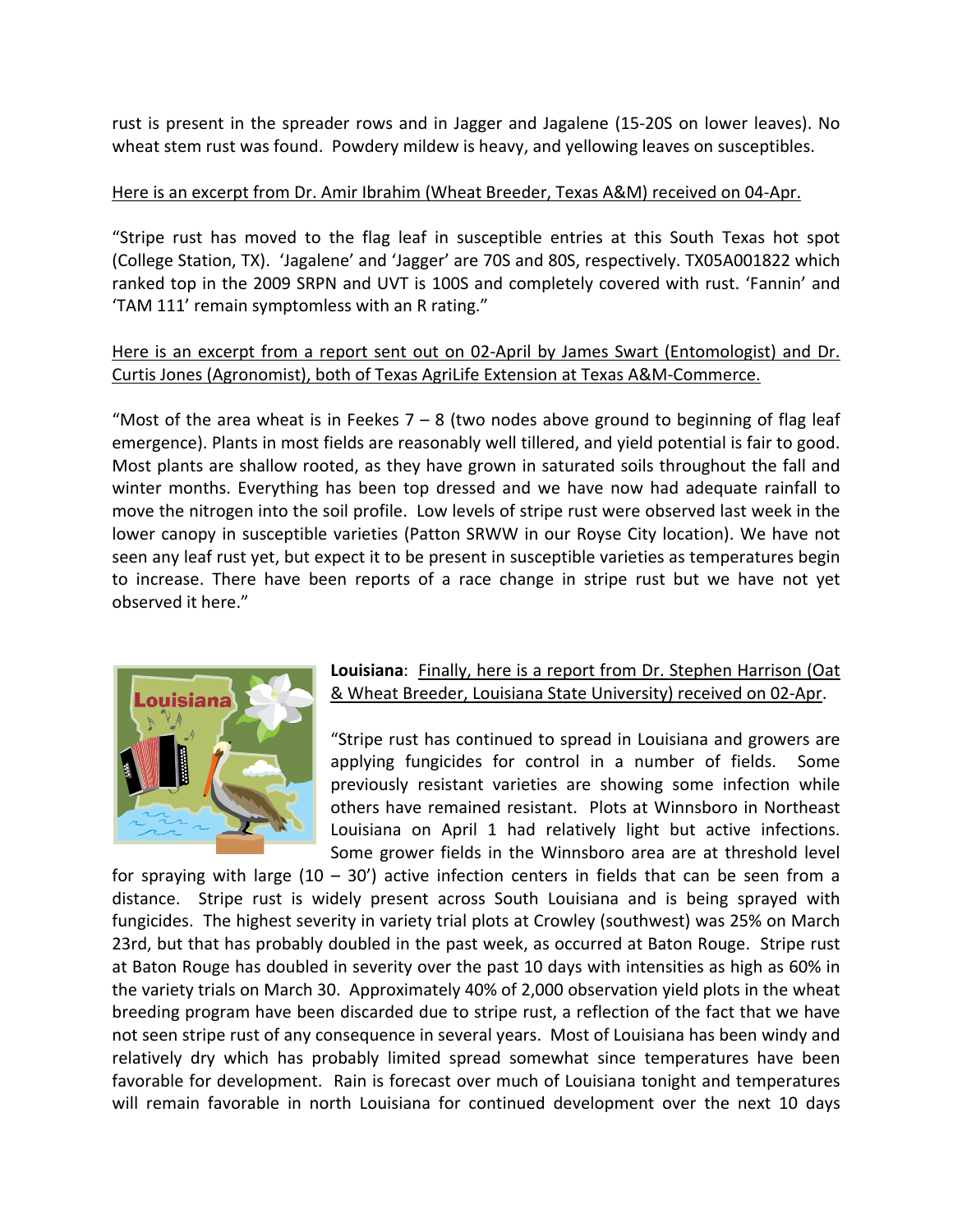rust is present in the spreader rows and in Jagger and Jagalene (15‐20S on lower leaves). No wheat stem rust was found. Powdery mildew is heavy, and yellowing leaves on susceptibles.

#### Here is an excerpt from Dr. Amir Ibrahim (Wheat Breeder, Texas A&M) received on 04‐Apr.

"Stripe rust has moved to the flag leaf in susceptible entries at this South Texas hot spot (College Station, TX). 'Jagalene' and 'Jagger' are 70S and 80S, respectively. TX05A001822 which ranked top in the 2009 SRPN and UVT is 100S and completely covered with rust. 'Fannin' and 'TAM 111' remain symptomless with an R rating."

## Here is an excerpt from a report sent out on 02‐April by James Swart (Entomologist) and Dr. Curtis Jones (Agronomist), both of Texas AgriLife Extension at Texas A&M‐Commerce.

"Most of the area wheat is in Feekes  $7 - 8$  (two nodes above ground to beginning of flag leaf emergence). Plants in most fields are reasonably well tillered, and yield potential is fair to good. Most plants are shallow rooted, as they have grown in saturated soils throughout the fall and winter months. Everything has been top dressed and we have now had adequate rainfall to move the nitrogen into the soil profile. Low levels of stripe rust were observed last week in the lower canopy in susceptible varieties (Patton SRWW in our Royse City location). We have not seen any leaf rust yet, but expect it to be present in susceptible varieties as temperatures begin to increase. There have been reports of a race change in stripe rust but we have not yet observed it here."



## **Louisiana**: Finally, here is a report from Dr. Stephen Harrison (Oat & Wheat Breeder, Louisiana State University) received on 02‐Apr.

"Stripe rust has continued to spread in Louisiana and growers are applying fungicides for control in a number of fields. Some previously resistant varieties are showing some infection while others have remained resistant. Plots at Winnsboro in Northeast Louisiana on April 1 had relatively light but active infections. Some grower fields in the Winnsboro area are at threshold level

for spraying with large  $(10 - 30')$  active infection centers in fields that can be seen from a distance. Stripe rust is widely present across South Louisiana and is being sprayed with fungicides. The highest severity in variety trial plots at Crowley (southwest) was 25% on March 23rd, but that has probably doubled in the past week, as occurred at Baton Rouge. Stripe rust at Baton Rouge has doubled in severity over the past 10 days with intensities as high as 60% in the variety trials on March 30. Approximately 40% of 2,000 observation yield plots in the wheat breeding program have been discarded due to stripe rust, a reflection of the fact that we have not seen stripe rust of any consequence in several years. Most of Louisiana has been windy and relatively dry which has probably limited spread somewhat since temperatures have been favorable for development. Rain is forecast over much of Louisiana tonight and temperatures will remain favorable in north Louisiana for continued development over the next 10 days